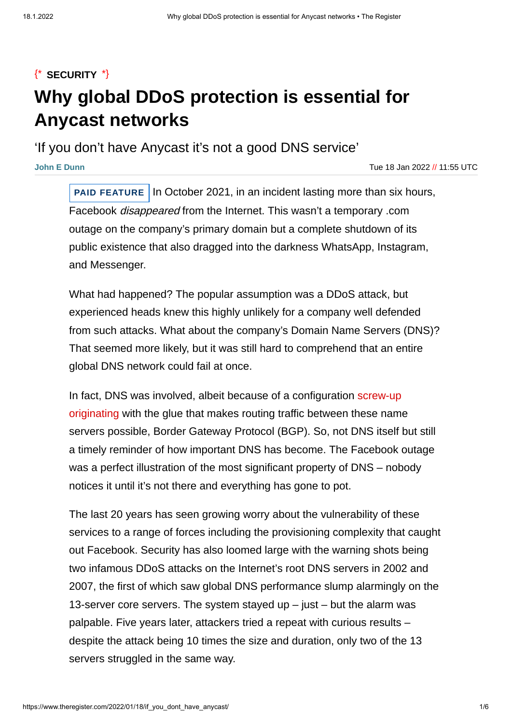# ${\ast}$  [SECURITY](https://www.theregister.com/security/)  ${\ast}$ **Why global DDoS protection is essential for Anycast networks**

'If you don't have Anycast it's not a good DNS service'

**John E [Dunn](https://www.theregister.com/Author/John-E-Dunn)** Tue 18 Jan 2022 // 11:55 UTC

**PAID FEATURE** In October 2021, in an incident lasting more than six hours, Facebook disappeared from the Internet. This wasn't a temporary .com outage on the company's primary domain but a complete shutdown of its public existence that also dragged into the darkness WhatsApp, Instagram, and Messenger.

What had happened? The popular assumption was a DDoS attack, but experienced heads knew this highly unlikely for a company well defended from such attacks. What about the company's Domain Name Servers (DNS)? That seemed more likely, but it was still hard to comprehend that an entire global DNS network could fail at once.

In fact, DNS was involved, albeit because of a [configuration](https://go.theregister.com/k/FB_disappeared) screw-up originating with the glue that makes routing traffic between these name servers possible, Border Gateway Protocol (BGP). So, not DNS itself but still a timely reminder of how important DNS has become. The Facebook outage was a perfect illustration of the most significant property of DNS – nobody notices it until it's not there and everything has gone to pot.

The last 20 years has seen growing worry about the vulnerability of these services to a range of forces including the provisioning complexity that caught out Facebook. Security has also loomed large with the warning shots being two infamous DDoS attacks on the Internet's root DNS servers in 2002 and 2007, the first of which saw global DNS performance slump alarmingly on the 13-server core servers. The system stayed  $up$  – just – but the alarm was palpable. Five years later, attackers tried a repeat with curious results – despite the attack being 10 times the size and duration, only two of the 13 servers struggled in the same way.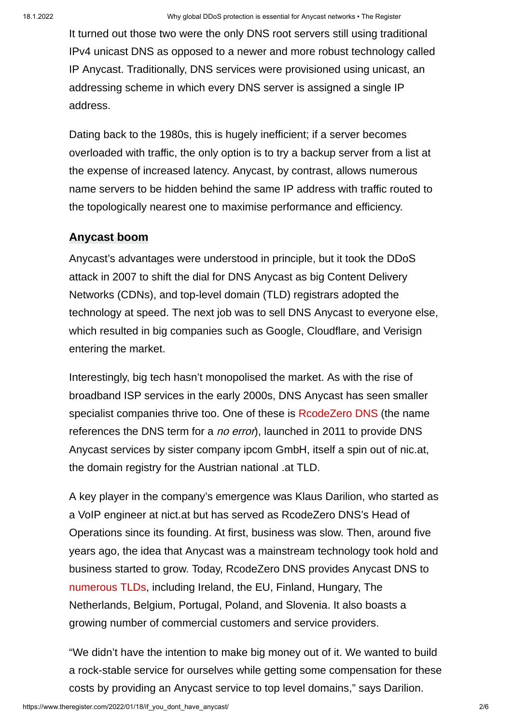It turned out those two were the only DNS root servers still using traditional IPv4 unicast DNS as opposed to a newer and more robust technology called IP Anycast. Traditionally, DNS services were provisioned using unicast, an addressing scheme in which every DNS server is assigned a single IP address.

Dating back to the 1980s, this is hugely inefficient; if a server becomes overloaded with traffic, the only option is to try a backup server from a list at the expense of increased latency. Anycast, by contrast, allows numerous name servers to be hidden behind the same IP address with traffic routed to the topologically nearest one to maximise performance and efficiency.

## **Anycast boom**

Anycast's advantages were understood in principle, but it took the DDoS attack in 2007 to shift the dial for DNS Anycast as big Content Delivery Networks (CDNs), and top-level domain (TLD) registrars adopted the technology at speed. The next job was to sell DNS Anycast to everyone else, which resulted in big companies such as Google, Cloudflare, and Verisign entering the market.

Interestingly, big tech hasn't monopolised the market. As with the rise of broadband ISP services in the early 2000s, DNS Anycast has seen smaller specialist companies thrive too. One of these is [RcodeZero](https://go.theregister.com/k/RcodeZero_DNS) DNS (the name references the DNS term for a *no error*), launched in 2011 to provide DNS Anycast services by sister company ipcom GmbH, itself a spin out of nic.at, the domain registry for the Austrian national .at TLD.

A key player in the company's emergence was Klaus Darilion, who started as a VoIP engineer at nict.at but has served as RcodeZero DNS's Head of Operations since its founding. At first, business was slow. Then, around five years ago, the idea that Anycast was a mainstream technology took hold and business started to grow. Today, RcodeZero DNS provides Anycast DNS to [numerous](https://go.theregister.com/k/customers) TLDs, including Ireland, the EU, Finland, Hungary, The Netherlands, Belgium, Portugal, Poland, and Slovenia. It also boasts a growing number of commercial customers and service providers.

"We didn't have the intention to make big money out of it. We wanted to build a rock-stable service for ourselves while getting some compensation for these costs by providing an Anycast service to top level domains," says Darilion.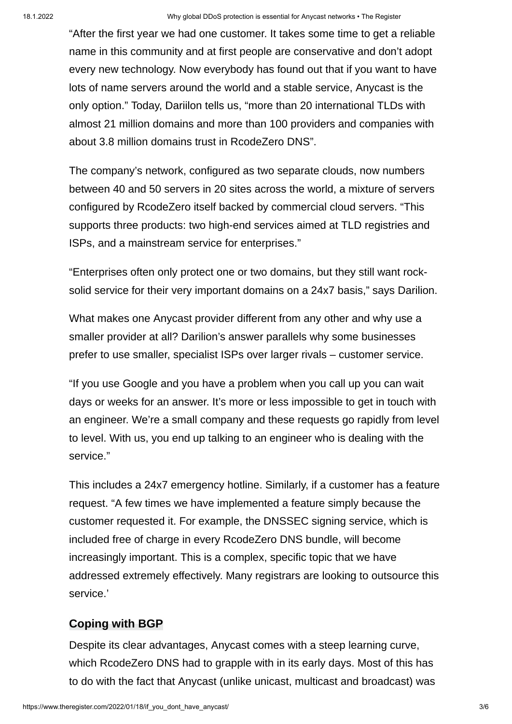"After the first year we had one customer. It takes some time to get a reliable name in this community and at first people are conservative and don't adopt every new technology. Now everybody has found out that if you want to have lots of name servers around the world and a stable service, Anycast is the only option." Today, Dariilon tells us, "more than 20 international TLDs with almost 21 million domains and more than 100 providers and companies with about 3.8 million domains trust in RcodeZero DNS".

The company's network, configured as two separate clouds, now numbers between 40 and 50 servers in 20 sites across the world, a mixture of servers configured by RcodeZero itself backed by commercial cloud servers. "This supports three products: two high-end services aimed at TLD registries and ISPs, and a mainstream service for enterprises."

"Enterprises often only protect one or two domains, but they still want rocksolid service for their very important domains on a 24x7 basis," says Darilion.

What makes one Anycast provider different from any other and why use a smaller provider at all? Darilion's answer parallels why some businesses prefer to use smaller, specialist ISPs over larger rivals – customer service.

"If you use Google and you have a problem when you call up you can wait days or weeks for an answer. It's more or less impossible to get in touch with an engineer. We're a small company and these requests go rapidly from level to level. With us, you end up talking to an engineer who is dealing with the service."

This includes a 24x7 emergency hotline. Similarly, if a customer has a feature request. "A few times we have implemented a feature simply because the customer requested it. For example, the DNSSEC signing service, which is included free of charge in every RcodeZero DNS bundle, will become increasingly important. This is a complex, specific topic that we have addressed extremely effectively. Many registrars are looking to outsource this service.'

# **Coping with BGP**

Despite its clear advantages, Anycast comes with a steep learning curve, which RcodeZero DNS had to grapple with in its early days. Most of this has to do with the fact that Anycast (unlike unicast, multicast and broadcast) was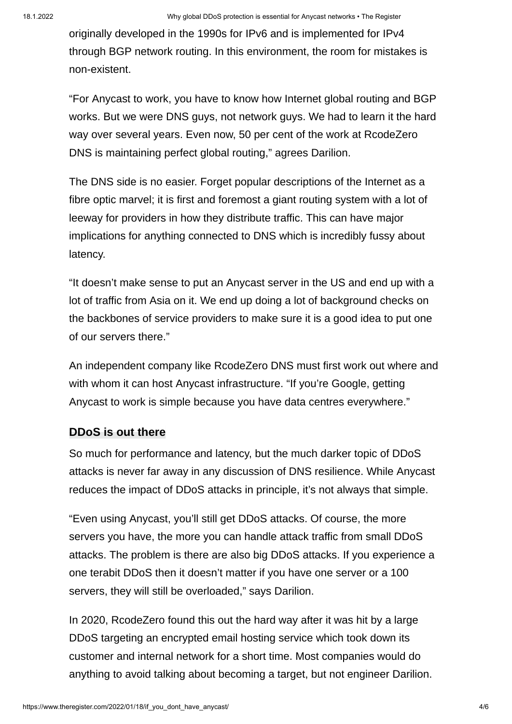originally developed in the 1990s for IPv6 and is implemented for IPv4 through BGP network routing. In this environment, the room for mistakes is non-existent.

"For Anycast to work, you have to know how Internet global routing and BGP works. But we were DNS guys, not network guys. We had to learn it the hard way over several years. Even now, 50 per cent of the work at RcodeZero DNS is maintaining perfect global routing," agrees Darilion.

The DNS side is no easier. Forget popular descriptions of the Internet as a fibre optic marvel; it is first and foremost a giant routing system with a lot of leeway for providers in how they distribute traffic. This can have major implications for anything connected to DNS which is incredibly fussy about latency.

"It doesn't make sense to put an Anycast server in the US and end up with a lot of traffic from Asia on it. We end up doing a lot of background checks on the backbones of service providers to make sure it is a good idea to put one of our servers there."

An independent company like RcodeZero DNS must first work out where and with whom it can host Anycast infrastructure. "If you're Google, getting Anycast to work is simple because you have data centres everywhere."

#### **DDoS is out there**

So much for performance and latency, but the much darker topic of DDoS attacks is never far away in any discussion of DNS resilience. While Anycast reduces the impact of DDoS attacks in principle, it's not always that simple.

"Even using Anycast, you'll still get DDoS attacks. Of course, the more servers you have, the more you can handle attack traffic from small DDoS attacks. The problem is there are also big DDoS attacks. If you experience a one terabit DDoS then it doesn't matter if you have one server or a 100 servers, they will still be overloaded," says Darilion.

In 2020, RcodeZero found this out the hard way after it was hit by a large DDoS targeting an encrypted email hosting service which took down its customer and internal network for a short time. Most companies would do anything to avoid talking about becoming a target, but not engineer Darilion.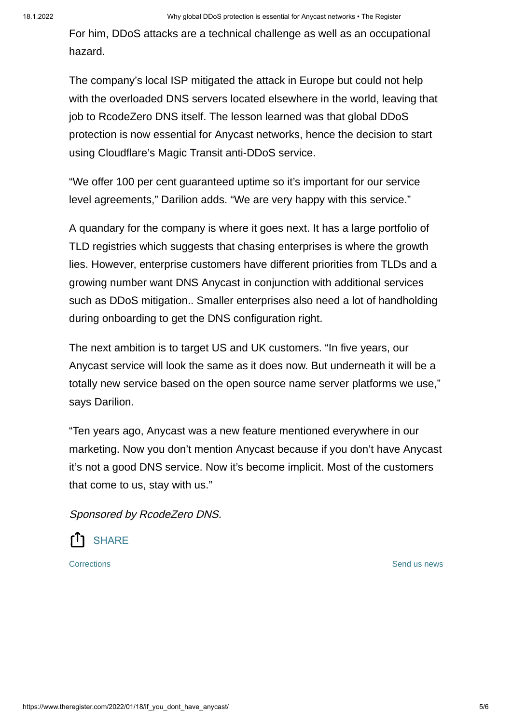For him, DDoS attacks are a technical challenge as well as an occupational hazard.

The company's local ISP mitigated the attack in Europe but could not help with the overloaded DNS servers located elsewhere in the world, leaving that job to RcodeZero DNS itself. The lesson learned was that global DDoS protection is now essential for Anycast networks, hence the decision to start using Cloudflare's Magic Transit anti-DDoS service.

"We offer 100 per cent guaranteed uptime so it's important for our service level agreements," Darilion adds. "We are very happy with this service."

A quandary for the company is where it goes next. It has a large portfolio of TLD registries which suggests that chasing enterprises is where the growth lies. However, enterprise customers have different priorities from TLDs and a growing number want DNS Anycast in conjunction with additional services such as DDoS mitigation.. Smaller enterprises also need a lot of handholding during onboarding to get the DNS configuration right.

The next ambition is to target US and UK customers. "In five years, our Anycast service will look the same as it does now. But underneath it will be a totally new service based on the open source name server platforms we use," says Darilion.

"Ten years ago, Anycast was a new feature mentioned everywhere in our marketing. Now you don't mention Anycast because if you don't have Anycast it's not a good DNS service. Now it's become implicit. Most of the customers that come to us, stay with us."

Sponsored by RcodeZero DNS.



[Corrections](https://www.theregister.com/Author/Email/corrections?message=re:%20https%3A%2F%2Fwww.theregister.com/2022/01/18/if_you_dont_have_anycast/) **[Send](https://www.theregister.com/Profile/contact/) us news** Send us news